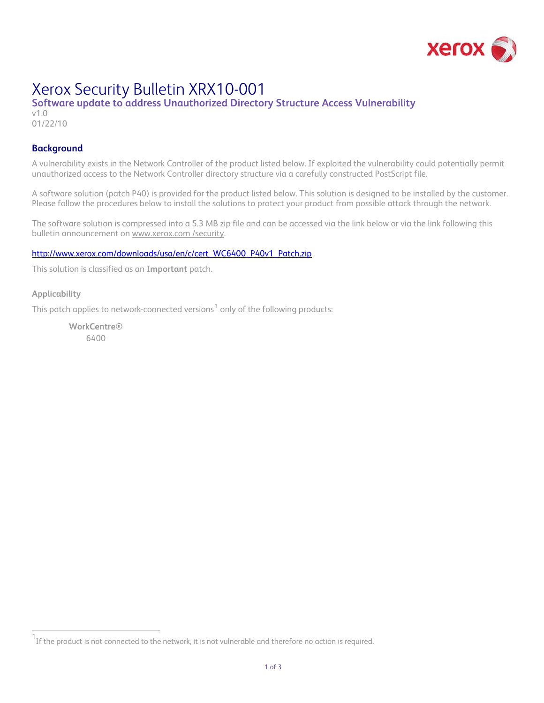

# Xerox Security Bulletin XRX10-001

# **Software update to address Unauthorized Directory Structure Access Vulnerability**

v1.0 01/22/10

# **Background**

A vulnerability exists in the Network Controller of the product listed below. If exploited the vulnerability could potentially permit unauthorized access to the Network Controller directory structure via a carefully constructed PostScript file.

A software solution (patch P40) is provided for the product listed below. This solution is designed to be installed by the customer. Please follow the procedures below to install the solutions to protect your product from possible attack through the network.

The software solution is compressed into a 5.3 MB zip file and can be accessed via the link below or via the link following this bulletin announcement on [www.xerox.com /security](http://www.xerox.com/security).

# [http://www.xerox.com/downloads/usa/en/c/cert\\_WC6400\\_P40v1\\_Patch.zip](http://www.xerox.com/downloads/usa/en/c/cert_WC6400_P40v1_Patch.zip)

This solution is classified as an **Important** patch.

### **Applicability**

i.

This patch applies to network-connected versions $^{\rm 1}$  $^{\rm 1}$  $^{\rm 1}$  only of the following products:

**WorkCentre**® 6400

<span id="page-0-0"></span> $^{\rm 1}$ If the product is not connected to the network, it is not vulnerable and therefore no action is required.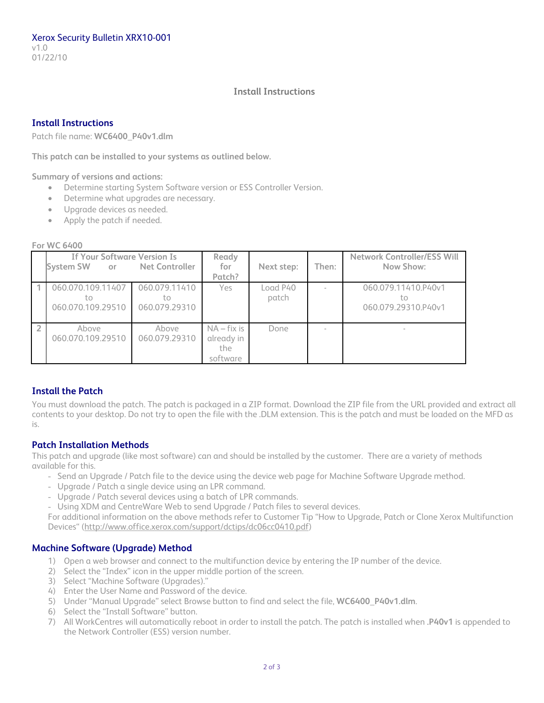## **Install Instructions**

# **Install Instructions**

Patch file name: **WC6400\_P40v1.dlm** 

**This patch can be installed to your systems as outlined below.** 

**Summary of versions and actions:** 

- Determine starting System Software version or ESS Controller Version.
- Determine what upgrades are necessary.
- Upgrade devices as needed.
- Apply the patch if needed.

#### **For WC 6400**

| <b>If Your Software Version Is</b><br><b>System SW</b><br>or | Net Controller                       | Ready<br>for<br>Patch?                         | Next step:        | Then: | <b>Network Controller/ESS Will</b><br>Now Show:  |
|--------------------------------------------------------------|--------------------------------------|------------------------------------------------|-------------------|-------|--------------------------------------------------|
| 060.070.109.11407<br>tο<br>060.070.109.29510                 | 060.079.11410<br>tο<br>060.079.29310 | <b>Yes</b>                                     | Load P40<br>patch |       | 060.079.11410.P40v1<br>tο<br>060.079.29310.P40v1 |
| Above<br>060.070.109.29510                                   | Above<br>060.079.29310               | $NA$ – fix is<br>already in<br>the<br>software | Done              |       | $\sim$                                           |

# **Install the Patch**

You must download the patch. The patch is packaged in a ZIP format. Download the ZIP file from the URL provided and extract all contents to your desktop. Do not try to open the file with the .DLM extension. This is the patch and must be loaded on the MFD as is.

# **Patch Installation Methods**

This patch and upgrade (like most software) can and should be installed by the customer. There are a variety of methods available for this.

- Send an Upgrade / Patch file to the device using the device web page for Machine Software Upgrade method.
- Upgrade / Patch a single device using an LPR command.
- Upgrade / Patch several devices using a batch of LPR commands.
- Using XDM and CentreWare Web to send Upgrade / Patch files to several devices.

For additional information on the above methods refer to Customer Tip "How to Upgrade, Patch or Clone Xerox Multifunction Devices" [\(http://www.office.xerox.com/support/dctips/dc06cc0410.pdf\)](http://www.office.xerox.com/support/dctips/dc06cc0410.pdf)

# **Machine Software (Upgrade) Method**

- 1) Open a web browser and connect to the multifunction device by entering the IP number of the device.
- 2) Select the "Index" icon in the upper middle portion of the screen.
- 3) Select "Machine Software (Upgrades)."
- 4) Enter the User Name and Password of the device.
- 5) Under "Manual Upgrade" select Browse button to find and select the file, **WC6400\_P40v1.dlm**.
- 6) Select the "Install Software" button.
- 7) All WorkCentres will automatically reboot in order to install the patch. The patch is installed when **.P40v1** is appended to the Network Controller (ESS) version number.